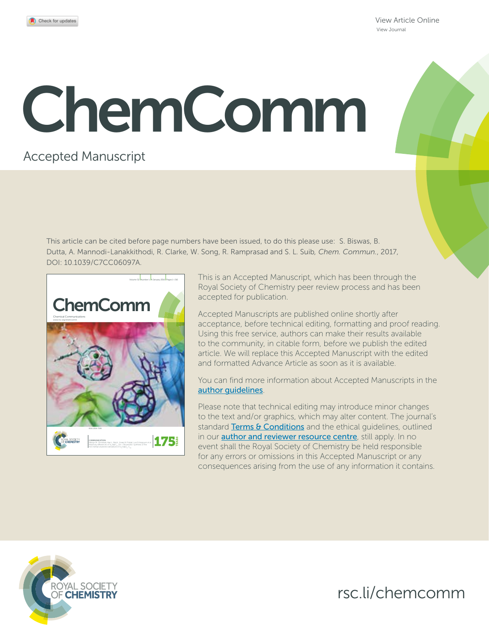[View Article Online](http://dx.doi.org/10.1039/C7CC06097A) [View Journal](http://pubs.rsc.org/en/journals/journal/CC)

# ChemComm

# Accepted Manuscript

This article can be cited before page numbers have been issued, to do this please use: S. Biswas, B. Dutta, A. Mannodi-Lanakkithodi, R. Clarke, W. Song, R. Ramprasad and S. L. Suib*, Chem. Commun.*, 2017, DOI: 10.1039/C7CC06097A.



This is an Accepted Manuscript, which has been through the Royal Society of Chemistry peer review process and has been accepted for publication.

Accepted Manuscripts are published online shortly after acceptance, before technical editing, formatting and proof reading. Using this free service, authors can make their results available to the community, in citable form, before we publish the edited article. We will replace this Accepted Manuscript with the edited and formatted Advance Article as soon as it is available.

You can find more information about Accepted Manuscripts in the [author guidelines](http://www.rsc.org/Publishing/Journals/guidelines/AuthorGuidelines/JournalPolicy/accepted_manuscripts.asp).

Please note that technical editing may introduce minor changes to the text and/or graphics, which may alter content. The journal's standard [Terms & Conditions](http://www.rsc.org/help/termsconditions.asp) and the ethical quidelines, outlined in our **[author and reviewer resource centre](http://www.rsc.org/publishing/journals/guidelines/)**, still apply. In no event shall the Royal Society of Chemistry be held responsible for any errors or omissions in this Accepted Manuscript or any consequences arising from the use of any information it contains.



rsc.li/chemcomm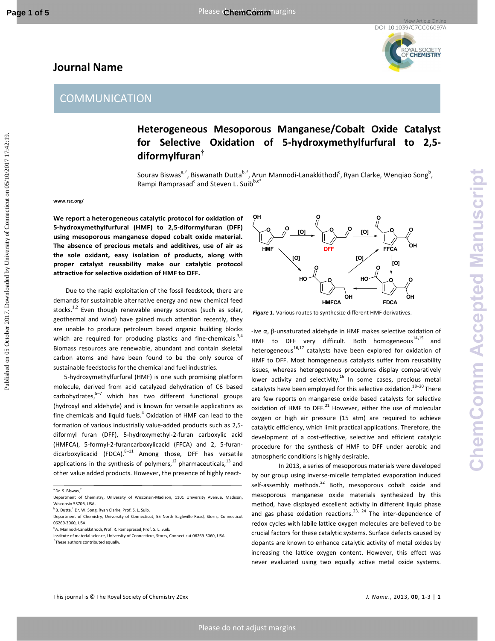**Journal Name** 



## **Heterogeneous Mesoporous Manganese/Cobalt Oxide Catalyst for Selective Oxidation of 5-hydroxymethylfurfural to 2,5 diformylfuran†**

Sourav Biswas<sup>a, †</sup>, Biswanath Dutta<sup>b, †</sup>, Arun Mannodi-Lanakkithodi<sup>c</sup>, Ryan Clarke, Wenqiao Song<sup>b</sup>, Rampi Ramprasad<sup>c</sup> and Steven L. Suib<sup>b,c\*</sup>

**www.rsc.org/** 

**We report a heterogeneous catalytic protocol for oxidation of 5-hydroxymethylfurfural (HMF) to 2,5-diformylfuran (DFF) using mesoporous manganese doped cobalt oxide material. The absence of precious metals and additives, use of air as the sole oxidant, easy isolation of products, along with proper catalyst reusability make our catalytic protocol attractive for selective oxidation of HMF to DFF.** 

 Due to the rapid exploitation of the fossil feedstock, there are demands for sustainable alternative energy and new chemical feed stocks.<sup>1,2</sup> Even though renewable energy sources (such as solar, geothermal and wind) have gained much attention recently, they are unable to produce petroleum based organic building blocks which are required for producing plastics and fine-chemicals. $3,4$ Biomass resources are renewable, abundant and contain skeletal carbon atoms and have been found to be the only source of sustainable feedstocks for the chemical and fuel industries.

5-hydroxymethylfurfural (HMF) is one such promising platform molecule, derived from acid catalyzed dehydration of C6 based carbohydrates, $5-7$  which has two different functional groups (hydroxyl and aldehyde) and is known for versatile applications as fine chemicals and liquid fuels. $<sup>4</sup>$  Oxidation of HMF can lead to the</sup> formation of various industrially value-added products such as 2,5 diformyl furan (DFF), 5-hydroxymethyl-2-furan carboxylic acid (HMFCA), 5-formyl-2-furancarboxylicacid (FFCA) and 2, 5-furandicarboxylicacid (FDCA). $8-11$  Among those, DFF has versatile applications in the synthesis of polymers, $^{12}$  pharmaceuticals, $^{13}$  and other value added products. However, the presence of highly react-



*Figure 1.* Various routes to synthesize different HMF derivatives.

-ive α, β-unsaturated aldehyde in HMF makes selective oxidation of HMF to DFF very difficult. Both homogeneous<sup>14,15</sup> and heterogeneous<sup>16,17</sup> catalysts have been explored for oxidation of HMF to DFF. Most homogeneous catalysts suffer from reusability issues, whereas heterogeneous procedures display comparatively lower activity and selectivity.<sup>16</sup> In some cases, precious metal catalysts have been employed for this selective oxidation.<sup>18-20</sup> There are few reports on manganese oxide based catalysts for selective oxidation of HMF to DFF. $^{21}$  However, either the use of molecular oxygen or high air pressure (15 atm) are required to achieve catalytic efficiency, which limit practical applications. Therefore, the development of a cost-effective, selective and efficient catalytic procedure for the synthesis of HMF to DFF under aerobic and atmospheric conditions is highly desirable. **COMMUNICATION**<br>
COMMUNICATION<br> **Connection**<br> **Connection**<br> **Connection**<br> **Connection**<br> **Connection**<br> **Connection**<br> **Connection**<br> **Connection**<br> **Connection**<br> **Connection**<br> **Connection**<br> **Connection**<br> **Connection**<br> **Connec** 

In 2013, a series of mesoporous materials were developed by our group using inverse-micelle templated evaporation induced self-assembly methods. $^{22}$  Both, mesoporous cobalt oxide and mesoporous manganese oxide materials synthesized by this method, have displayed excellent activity in different liquid phase and gas phase oxidation reactions.<sup>23, 24</sup> The inter-dependence of redox cycles with labile lattice oxygen molecules are believed to be crucial factors for these catalytic systems. Surface defects caused by dopants are known to enhance catalytic activity of metal oxides by increasing the lattice oxygen content. However, this effect was never evaluated using two equally active metal oxide systems.

<sup>a</sup>Dr. S. Biswas,*†*

Department of Chemistry, University of Wisconsin-Madison, 1101 University Avenue, Madison, Wisconsin 53706, USA.

<sup>b</sup>B. Dutta,*†* Dr. W. Song, Ryan Clarke, Prof. S. L. Suib*.*

Department of Chemistry, University of Connecticut, 55 North Eagleville Road, Storrs, Connecticut 06269-3060, USA.

<sup>c</sup>A. Mannodi-Lanakkithodi, Prof. R. Ramaprasad, Prof. S. L. Suib*.*

Institute of material science, University of Connecticut, Storrs, Connecticut 06269-3060, USA. *†* These authors contributed equally.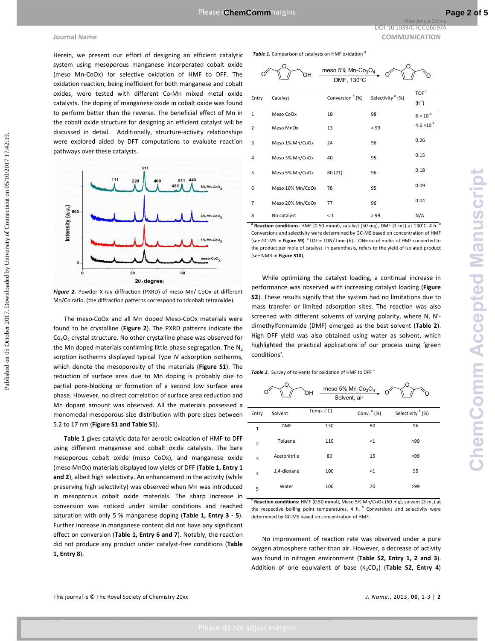

*Figure 2.* Powder X-ray diffraction (PXRD) of meso Mn/ CoOx at different Mn/Co ratio. (the diffraction patterns correspond to tricobalt tetraoxide).

**Table 1** gives catalytic data for aerobic oxidation of HMF to DFF using different manganese and cobalt oxide catalysts. The bare mesoporous cobalt oxide (meso CoOx), and manganese oxide (meso MnOx) materials displayed low yields of DFF (**Table 1, Entry 1 and 2**), albeit high selectivity. An enhancement in the activity (while preserving high selectivity) was observed when Mn was introduced in mesoporous cobalt oxide materials. The sharp increase in conversion was noticed under similar conditions and reached saturation with only 5 % manganese doping (**Table 1, Entry 3 - 5**). Further increase in manganese content did not have any significant effect on conversion (**Table 1, Entry 6 and 7**). Notably, the reaction did not produce any product under catalyst-free conditions (**Table 1, Entry 8**).

|                                                                                                                                                                                                         |                                                                                                                                          |                                                                                                                                                                 |                                                           |                              | <b>View Article Online</b><br>DOI: 10.1039/C7CC06097A |  |
|---------------------------------------------------------------------------------------------------------------------------------------------------------------------------------------------------------|------------------------------------------------------------------------------------------------------------------------------------------|-----------------------------------------------------------------------------------------------------------------------------------------------------------------|-----------------------------------------------------------|------------------------------|-------------------------------------------------------|--|
| Journal Name                                                                                                                                                                                            |                                                                                                                                          |                                                                                                                                                                 |                                                           |                              | <b>COMMUNICATION</b>                                  |  |
| Herein, we present our effort of designing an efficient catalytic<br>system using mesoporous manganese incorporated cobalt oxide                                                                        |                                                                                                                                          | Table 1. Comparison of catalysts on HMF oxidation <sup>a</sup>                                                                                                  |                                                           |                              |                                                       |  |
| (meso Mn-CoOx) for selective oxidation of HMF to DFF. The<br>oxidation reaction, being inefficient for both manganese and cobalt                                                                        |                                                                                                                                          |                                                                                                                                                                 | meso 5% Mn-Co <sub>3</sub> O <sub>4</sub><br>DMF, 130°C   |                              |                                                       |  |
| oxides, were tested with different Co-Mn mixed metal oxide<br>catalysts. The doping of manganese oxide in cobalt oxide was found                                                                        | Entry                                                                                                                                    | Catalyst                                                                                                                                                        | Conversion <sup>b</sup> (%)                               | Selectivity <sup>b</sup> (%) | TOF <sup>c</sup><br>$(h^{-1})$                        |  |
| to perform better than the reverse. The beneficial effect of Mn in                                                                                                                                      | $\overline{1}$                                                                                                                           | Meso CoOx                                                                                                                                                       | 18                                                        | 98                           | $6 \times 10^{-4}$                                    |  |
| the cobalt oxide structure for designing an efficient catalyst will be<br>discussed in detail. Additionally, structure-activity relationships                                                           | $\overline{2}$                                                                                                                           | Meso MnOx                                                                                                                                                       | 13                                                        | > 99                         | $4.6 \times 10^{-4}$                                  |  |
| were explored aided by DFT computations to evaluate reaction                                                                                                                                            | $\overline{3}$                                                                                                                           | Meso 1% Mn/CoOx                                                                                                                                                 | 24                                                        | 96                           | 0.26                                                  |  |
| pathways over these catalysts.                                                                                                                                                                          | 4                                                                                                                                        | Meso 3% Mn/CoOx                                                                                                                                                 | 40                                                        | 95                           | 0.15                                                  |  |
| 311                                                                                                                                                                                                     | 5                                                                                                                                        | Meso 5% Mn/CoOx                                                                                                                                                 | 80 (71)                                                   | 96                           | 0.18                                                  |  |
| 111<br>511<br>220<br>5% Mn-CoO,                                                                                                                                                                         | 6                                                                                                                                        | Meso 10% Mn/CoOx                                                                                                                                                | 78                                                        | 95                           | 0.09                                                  |  |
|                                                                                                                                                                                                         | $\overline{7}$                                                                                                                           | Meso 20% Mn/CoOx                                                                                                                                                | 77                                                        | 96                           | 0.04                                                  |  |
| Intensity (a.u.)<br>500<br>3% Mn-CoO <sub>x</sub>                                                                                                                                                       | 8                                                                                                                                        | No catalyst                                                                                                                                                     | $\leq 1$                                                  | > 99                         | N/A                                                   |  |
| meso-CoO <sub>x</sub><br>$\mathbf{0}$<br>30<br>60<br>$20$ (degree)                                                                                                                                      |                                                                                                                                          | (see NMR in Figure S10).<br>While optimizing the catalyst loading, a continual increase in<br>performance was observed with increasing catalyst loading (Figure |                                                           |                              |                                                       |  |
| Figure 2. Powder X-ray diffraction (PXRD) of meso Mn/ CoOx at different<br>Mn/Co ratio. (the diffraction patterns correspond to tricobalt tetraoxide).                                                  | S2). These results signify that the system had no limitations due to<br>mass transfer or limited adsorption sites. The reaction was also |                                                                                                                                                                 |                                                           |                              |                                                       |  |
| The meso-CoOx and all Mn doped Meso-CoOx materials were                                                                                                                                                 |                                                                                                                                          | screened with different solvents of varying polarity, where N, N'-                                                                                              |                                                           |                              |                                                       |  |
| found to be crystalline (Figure 2). The PXRD patterns indicate the                                                                                                                                      | dimethylformamide (DMF) emerged as the best solvent (Table 2).<br>High DFF yield was also obtained using water as solvent, which         |                                                                                                                                                                 |                                                           |                              |                                                       |  |
| $Co3O4$ crystal structure. No other crystalline phase was observed for<br>the Mn doped materials confirming little phase segregation. The $N_2$                                                         | highlighted the practical applications of our process using 'green                                                                       |                                                                                                                                                                 |                                                           |                              |                                                       |  |
| sorption isotherms displayed typical Type IV adsorption isotherms,<br>which denote the mesoporosity of the materials ( <b>Figure S1</b> ). The                                                          | conditions'.<br>Table 2. Survey of solvents for oxidation of HMF to DFF <sup>°</sup>                                                     |                                                                                                                                                                 |                                                           |                              |                                                       |  |
| reduction of surface area due to Mn doping is probably due to<br>partial pore-blocking or formation of a second low surface area<br>phase. However, no direct correlation of surface area reduction and |                                                                                                                                          | ЮH                                                                                                                                                              | meso 5% Mn-Co <sub>3</sub> O <sub>4</sub><br>Solvent, air |                              |                                                       |  |
| Mn dopant amount was observed. All the materials possessed a<br>monomodal mesoporous size distribution with pore sizes between                                                                          | Entry                                                                                                                                    | Temp. (°C)<br>Solvent                                                                                                                                           |                                                           | Conv. <sup>b</sup> (%)       | Selectivity <sup>b</sup> (%)                          |  |
| 5.2 to 17 nm (Figure S1 and Table S1).                                                                                                                                                                  | $\mathbf{1}$                                                                                                                             | <b>DMF</b>                                                                                                                                                      | 130                                                       | 80                           | 96                                                    |  |
| Table 1 gives catalytic data for aerobic oxidation of HMF to DFF<br>using different manganese and cobalt oxide catalysts. The bare                                                                      | $\mathbf 2$                                                                                                                              | Toluene                                                                                                                                                         | 110                                                       | $\leq 1$                     | >99                                                   |  |
| mesoporous cobalt oxide (meso CoOx), and manganese oxide                                                                                                                                                | $\overline{\mathbf{3}}$                                                                                                                  | Acetonitrile                                                                                                                                                    | 80                                                        | 15                           | >99                                                   |  |
| (meso MnOx) materials displayed low yields of DFF (Table 1, Entry 1                                                                                                                                     |                                                                                                                                          |                                                                                                                                                                 |                                                           |                              |                                                       |  |



| Entry          | Solvent      | Temp. (°C) | Conv. $(b)$ (%) | Selectivity <sup>b</sup> (%) |  |  |
|----------------|--------------|------------|-----------------|------------------------------|--|--|
| $\mathbf{1}$   | <b>DMF</b>   | 130        | 80              | 96                           |  |  |
| $\overline{2}$ | Toluene      | 110        | <1              | >99                          |  |  |
| 3              | Acetonitrile | 80         | 15              | >99                          |  |  |
| 4              | 1,4-dioxane  | 100        | <1              | 95                           |  |  |
| 5              | Water        | 100        | 70              | >99                          |  |  |

*a* **Reaction conditions:** HMF (0.50 mmol), Meso 5% Mn/CoOx (50 mg), solvent (3 mL) at the respective boiling point temperatures, 4 h.<sup>b</sup> Conversions and selectivity were determined by GC-MS based on concentration of HMF.

No improvement of reaction rate was observed under a pure oxygen atmosphere rather than air. However, a decrease of activity was found in nitrogen environment (**Table S2, Entry 1, 2 and 3**). Addition of one equivalent of base (K<sub>2</sub>CO<sub>3</sub>) (Table S2, Entry 4)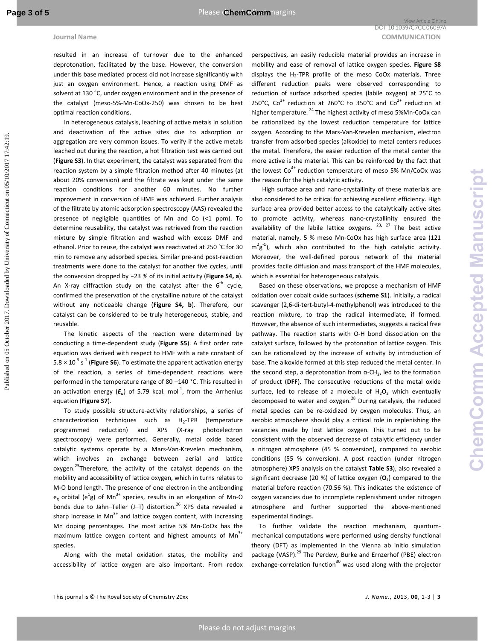resulted in an increase of turnover due to the enhanced deprotonation, facilitated by the base. However, the conversion under this base mediated process did not increase significantly with just an oxygen environment. Hence, a reaction using DMF as solvent at 130 °C, under oxygen environment and in the presence of the catalyst (meso-5%-Mn-CoOx-250) was chosen to be best optimal reaction conditions.

In heterogeneous catalysis, leaching of active metals in solution and deactivation of the active sites due to adsorption or aggregation are very common issues. To verify if the active metals leached out during the reaction, a hot filtration test was carried out (**Figure S3**). In that experiment, the catalyst was separated from the reaction system by a simple filtration method after 40 minutes (at about 20% conversion) and the filtrate was kept under the same reaction conditions for another 60 minutes. No further improvement in conversion of HMF was achieved. Further analysis of the filtrate by atomic adsorption spectroscopy (AAS) revealed the presence of negligible quantities of Mn and Co (<1 ppm). To determine reusability, the catalyst was retrieved from the reaction mixture by simple filtration and washed with excess DMF and ethanol. Prior to reuse, the catalyst was reactivated at 250 °C for 30 min to remove any adsorbed species. Similar pre-and post-reaction treatments were done to the catalyst for another five cycles, until the conversion dropped by ~23 % of its initial activity (Figure S4, a). An X-ray diffraction study on the catalyst after the  $6<sup>th</sup>$  cycle, confirmed the preservation of the crystalline nature of the catalyst without any noticeable change (**Figure S4, b**). Therefore, our catalyst can be considered to be truly heterogeneous, stable, and reusable. External Manus<br> **COMMUNICATION**<br> **CHEMOLOGY CONNECTION CONNECTION CONNECTION CONNECTION CONNECTION CONNECTION CONNECTION CONNECTION CONNECTION CONNECTION CONNECTION CONNECTION CONNECTION CONNECTION CONNECTION CONNECTION CO** 

The kinetic aspects of the reaction were determined by conducting a time-dependent study (**Figure S5**). A first order rate equation was derived with respect to HMF with a rate constant of  $5.8 \times 10^{-3}$  s<sup>-1</sup> (**Figure S6**). To estimate the apparent activation energy of the reaction, a series of time-dependent reactions were performed in the temperature range of 80 –140 °C. This resulted in an activation energy ( $E_a$ ) of 5.79 kcal. mol<sup>-1</sup>, from the Arrhenius equation (**Figure S7**).

To study possible structure-activity relationships, a series of characterization techniques such as H<sub>2</sub>-TPR (temperature programmed reduction) and XPS (X-ray photoelectron spectroscopy) were performed. Generally, metal oxide based catalytic systems operate by a Mars-Van-Krevelen mechanism, which involves an exchange between aerial and lattice oxygen.<sup>25</sup>Therefore, the activity of the catalyst depends on the mobility and accessibility of lattice oxygen, which in turns relates to M-O bond length. The presence of one electron in the antibonding  $e_g$  orbital ( $e^1g$ ) of Mn<sup>3+</sup> species, results in an elongation of Mn-O bonds due to Jahn-Teller (J-T) distortion.<sup>26</sup> XPS data revealed a sharp increase in Mn<sup>3+</sup> and lattice oxygen content, with increasing Mn doping percentages. The most active 5% Mn-CoOx has the maximum lattice oxygen content and highest amounts of  $Mn<sup>3+</sup>$ species.

Along with the metal oxidation states, the mobility and accessibility of lattice oxygen are also important. From redox perspectives, an easily reducible material provides an increase in mobility and ease of removal of lattice oxygen species. **Figure S8** displays the  $H_2$ -TPR profile of the meso CoOx materials. Three different reduction peaks were observed corresponding to reduction of surface adsorbed species (labile oxygen) at 25°C to 250°C,  $Co^{3+}$  reduction at 260°C to 350°C and  $Co^{2+}$  reduction at higher temperature.<sup>24</sup> The highest activity of meso 5%Mn-CoOx can be rationalized by the lowest reduction temperature for lattice oxygen. According to the Mars-Van-Krevelen mechanism, electron transfer from adsorbed species (alkoxide) to metal centers reduces the metal. Therefore, the easier reduction of the metal center the more active is the material. This can be reinforced by the fact that the lowest  $Co<sup>3+</sup>$  reduction temperature of meso 5% Mn/CoOx was the reason for the high catalytic activity.

High surface area and nano-crystallinity of these materials are also considered to be critical for achieving excellent efficiency. High surface area provided better access to the catalytically active sites to promote activity, whereas nano-crystallinity ensured the availability of the labile lattice oxygens. <sup>23, 27</sup> The best active material, namely, 5 % meso Mn-CoOx has high surface area (121  $m^2g^{-1}$ ), which also contributed to the high catalytic activity. Moreover, the well-defined porous network of the material provides facile diffusion and mass transport of the HMF molecules, which is essential for heterogeneous catalysis.

Based on these observations, we propose a mechanism of HMF oxidation over cobalt oxide surfaces (**scheme S1**). Initially, a radical scavenger (2,6-di-tert-butyl-4-methylphenol) was introduced to the reaction mixture, to trap the radical intermediate, if formed. However, the absence of such intermediates, suggests a radical free pathway. The reaction starts with O-H bond dissociation on the catalyst surface, followed by the protonation of lattice oxygen. This can be rationalized by the increase of activity by introduction of base. The alkoxide formed at this step reduced the metal center. In the second step, a deprotonation from  $\alpha$ -CH<sub>2</sub>, led to the formation of product (**DFF**). The consecutive reductions of the metal oxide surface, led to release of a molecule of  $H_2O_2$  which eventually decomposed to water and oxygen.<sup>28</sup> During catalysis, the reduced metal species can be re-oxidized by oxygen molecules. Thus, an aerobic atmosphere should play a critical role in replenishing the vacancies made by lost lattice oxygen. This turned out to be consistent with the observed decrease of catalytic efficiency under a nitrogen atmosphere (45 % conversion), compared to aerobic conditions (55 % conversion). A post reaction (under nitrogen atmosphere) XPS analysis on the catalyst **Table S3**), also revealed a significant decrease (20 %) of lattice oxygen (**O<sup>L</sup>** ) compared to the material before reaction (70.56 %). This indicates the existence of oxygen vacancies due to incomplete replenishment under nitrogen atmosphere and further supported the above-mentioned experimental findings.

To further validate the reaction mechanism, quantummechanical computations were performed using density functional theory (DFT) as implemented in the Vienna ab initio simulation package (VASP).<sup>29</sup> The Perdew, Burke and Ernzerhof (PBE) electron exchange-correlation function $30$  was used along with the projector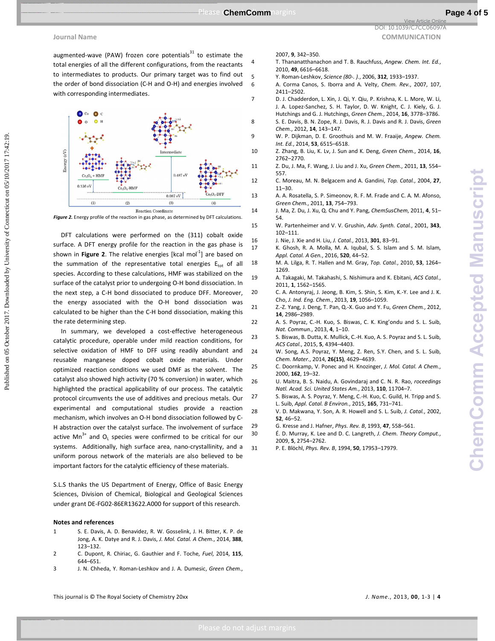**Journal Name** COMMUNICATION **COMMUNICATION** 

augmented-wave (PAW) frozen core potentials $^{31}$  to estimate the total energies of all the different configurations, from the reactants to intermediates to products. Our primary target was to find out the order of bond dissociation (C-H and O-H) and energies involved with corresponding intermediates.



Figure 2. Energy profile of the reaction in gas phase, as determined by DFT calculations.

DFT calculations were performed on the (311) cobalt oxide surface. A DFT energy profile for the reaction in the gas phase is shown in **Figure 2**. The relative energies [kcal mol<sup>-1</sup>] are based on the summation of the representative total energies  $E_{tot}$  of all species. According to these calculations, HMF was stabilized on the surface of the catalyst prior to undergoing O-H bond dissociation. In the next step, a C-H bond dissociated to produce DFF. Moreover, the energy associated with the O-H bond dissociation was calculated to be higher than the C-H bond dissociation, making this the rate determining step.

In summary, we developed a cost-effective heterogeneous catalytic procedure, operable under mild reaction conditions, for selective oxidation of HMF to DFF using readily abundant and reusable manganese doped cobalt oxide materials. Under optimized reaction conditions we used DMF as the solvent. The catalyst also showed high activity (70 % conversion) in water, which highlighted the practical applicability of our process. The catalytic protocol circumvents the use of additives and precious metals. Our experimental and computational studies provide a reaction mechanism, which involves an O-H bond dissociation followed by C-H abstraction over the catalyst surface. The involvement of surface active Mn<sup>3+</sup> and O<sub>L</sub> species were confirmed to be critical for our systems. Additionally, high surface area, nano-crystallinity, and a uniform porous network of the materials are also believed to be important factors for the catalytic efficiency of these materials. Example of Example 2017 (The Chempson of Connecticut on Delaye Connecticut on Delaye Connecticut on Delaye Connecticut on Delaye Connecticut on Delaye Connecticut on Delaye Connecticut on Delaye Connecticut on Delaye Conn

S.L.S thanks the US Department of Energy, Office of Basic Energy Sciences, Division of Chemical, Biological and Geological Sciences under grant DE-FG02-86ER13622.A000 for support of this research.

## **Notes and references**

- 1 S. E. Davis, A. D. Benavidez, R. W. Gosselink, J. H. Bitter, K. P. de Jong, A. K. Datye and R. J. Davis, *J. Mol. Catal. A Chem.*, 2014, **388**, 123–132.
- 2 C. Dupont, R. Chiriac, G. Gauthier and F. Toche, *Fuel*, 2014, **115**, 644–651.
- 3 J. N. Chheda, Y. Roman-Leshkov and J. A. Dumesic, *Green Chem.*,

### 2007, **9**, 342–350.

- 4 T. Thananatthanachon and T. B. Rauchfuss, *Angew. Chem. Int. Ed.*, 2010, **49**, 6616–6618.
- 5 Y. Roman-Leshkov, *Science (80-. ).*, 2006, **312**, 1933–1937.
- 6 A. Corma Canos, S. Iborra and A. Velty, *Chem. Rev.*, 2007, 107, 2411–2502.
- 7 D. J. Chadderdon, L. Xin, J. Qi, Y. Qiu, P. Krishna, K. L. More, W. Li, J. A. Lopez-Sanchez, S. H. Taylor, D. W. Knight, C. J. Kiely, G. J. Hutchings and G. J. Hutchings, *Green Chem.*, 2014, **16**, 3778–3786.
- 8 S. E. Davis, B. N. Zope, R. J. Davis, R. J. Davis and R. J. Davis, *Green Chem.*, 2012, **14**, 143–147.
- 9 W. P. Dijkman, D. E. Groothuis and M. W. Fraaije, *Angew. Chem. Int. Ed.*, 2014, **53**, 6515–6518.
- 10 Z. Zhang, B. Liu, K. Lv, J. Sun and K. Deng, *Green Chem.*, 2014, **16**, 2762–2770.
- 11 Z. Du, J. Ma, F. Wang, J. Liu and J. Xu, *Green Chem.*, 2011, **13**, 554– 557.
- 12 C. Moreau, M. N. Belgacem and A. Gandini, *Top. Catal.*, 2004, **27**, 11–30.
- 13 A. A. Rosatella, S. P. Simeonov, R. F. M. Frade and C. A. M. Afonso, *Green Chem.*, 2011, **13**, 754–793.
- 14 J. Ma, Z. Du, J. Xu, Q. Chu and Y. Pang, *ChemSusChem*, 2011, **4**, 51– 54.
- 15 W. Partenheimer and V. V. Grushin, *Adv. Synth. Catal.*, 2001, **343**, 102–111.
- 16 J. Nie, J. Xie and H. Liu, *J. Catal.*, 2013, **301**, 83–91.
- 17 K. Ghosh, R. A. Molla, M. A. Iqubal, S. S. Islam and S. M. Islam, *Appl. Catal. A Gen.*, 2016, **520**, 44–52.
- 18 M. A. Lilga, R. T. Hallen and M. Gray, *Top. Catal.*, 2010, **53**, 1264– 1269.
- 19 A. Takagaki, M. Takahashi, S. Nishimura and K. Ebitani, *ACS Catal.*, 2011, **1**, 1562–1565.
- 20 C. A. Antonyraj, J. Jeong, B. Kim, S. Shin, S. Kim, K.-Y. Lee and J. K. Cho, *J. Ind. Eng. Chem.*, 2013, **19**, 1056–1059.
- 21 Z.-Z. Yang, J. Deng, T. Pan, Q.-X. Guo and Y. Fu, *Green Chem.*, 2012, **14**, 2986–2989.
- 22 A. S. Poyraz, C.-H. Kuo, S. Biswas, C. K. King'ondu and S. L. Suib, *Nat. Commun.*, 2013, **4**, 1–10.
- 23 S. Biswas, B. Dutta, K. Mullick, C.-H. Kuo, A. S. Poyraz and S. L. Suib, *ACS Catal.*, 2015, **5**, 4394–4403.
- 24 W. Song, A.S. Poyraz, Y. Meng, Z. Ren, S.Y. Chen, and S. L. Suib, *Chem. Mater.*, 2014, **26(15)**, 4629–4639.
- 25 C. Doornkamp, V. Ponec and H. Knozinger, *J. Mol. Catal. A Chem.*, 2000, **162**, 19–32.
- 26 U. Maitra, B. S. Naidu, A. Govindaraj and C. N. R. Rao, *roceedings Natl. Acad. Sci. United States Am.*, 2013, **110**, 11704–7.
- 27 S. Biswas, A. S. Poyraz, Y. Meng, C.-H. Kuo, C. Guild, H. Tripp and S. L. Suib, *Appl. Catal. B Environ.*, 2015, **165**, 731–741.
- 28 V. D. Makwana, Y. Son, A. R. Howell and S. L. Suib, *J. Catal.*, 2002, **52**, 46–52.
- 29 G. Kresse and J. Hafner, *Phys. Rev. B*, 1993, **47**, 558–561.
- 30 É. D. Murray, K. Lee and D. C. Langreth, *J. Chem. Theory Comput.*, 2009, **5**, 2754–2762.
- 31 P. E. Blöchl, *Phys. Rev. B*, 1994, **50**, 17953–17979.